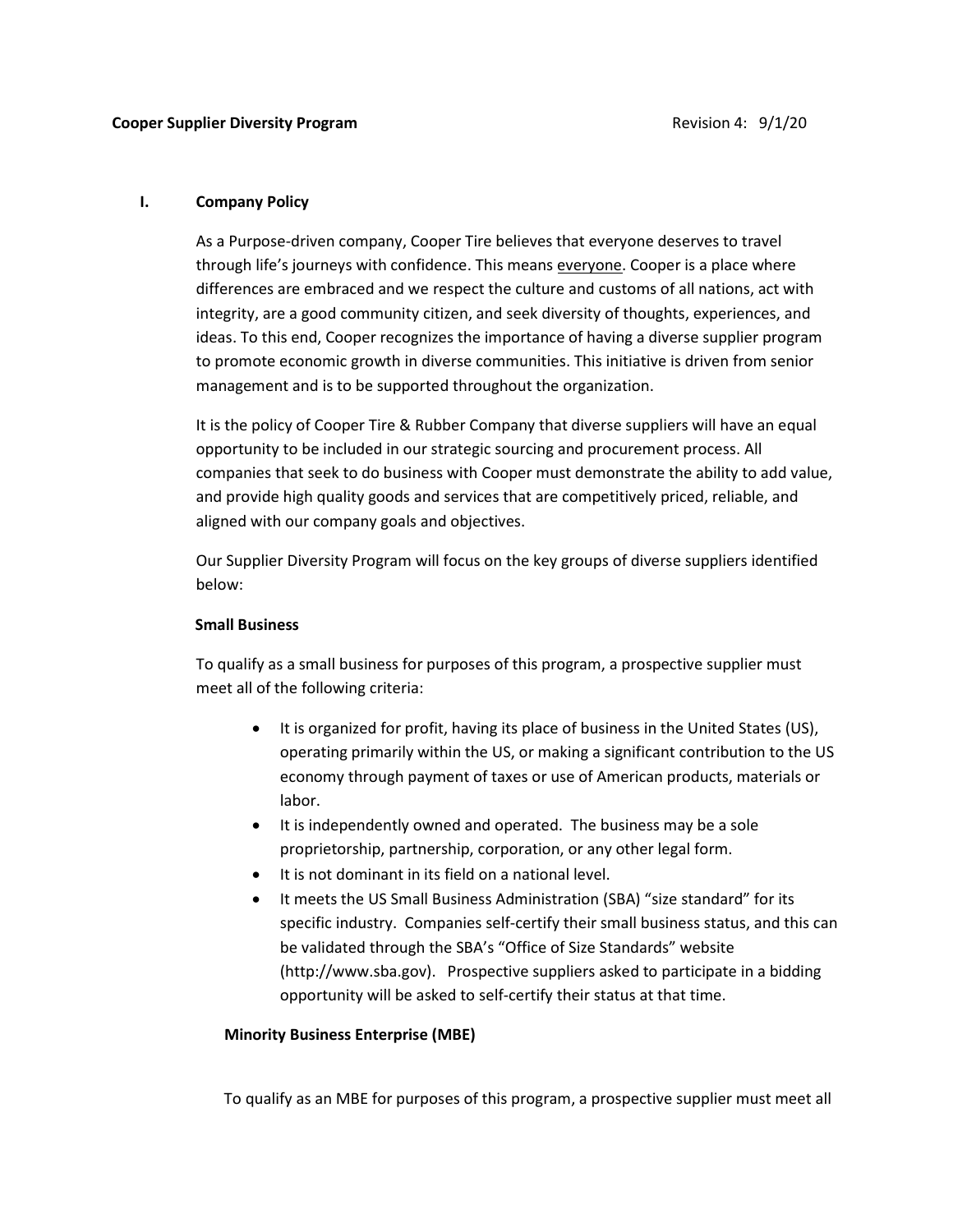#### I. Company Policy

As a Purpose-driven company, Cooper Tire believes that everyone deserves to travel through life's journeys with confidence. This means everyone. Cooper is a place where differences are embraced and we respect the culture and customs of all nations, act with integrity, are a good community citizen, and seek diversity of thoughts, experiences, and ideas. To this end, Cooper recognizes the importance of having a diverse supplier program to promote economic growth in diverse communities. This initiative is driven from senior management and is to be supported throughout the organization.

It is the policy of Cooper Tire & Rubber Company that diverse suppliers will have an equal opportunity to be included in our strategic sourcing and procurement process. All companies that seek to do business with Cooper must demonstrate the ability to add value, and provide high quality goods and services that are competitively priced, reliable, and aligned with our company goals and objectives.

Our Supplier Diversity Program will focus on the key groups of diverse suppliers identified below:

### Small Business

To qualify as a small business for purposes of this program, a prospective supplier must meet all of the following criteria:

- It is organized for profit, having its place of business in the United States (US), operating primarily within the US, or making a significant contribution to the US economy through payment of taxes or use of American products, materials or labor.
- It is independently owned and operated. The business may be a sole proprietorship, partnership, corporation, or any other legal form.
- It is not dominant in its field on a national level.
- It meets the US Small Business Administration (SBA) "size standard" for its specific industry. Companies self-certify their small business status, and this can be validated through the SBA's "Office of Size Standards" website (http://www.sba.gov). Prospective suppliers asked to participate in a bidding opportunity will be asked to self-certify their status at that time.

### Minority Business Enterprise (MBE)

To qualify as an MBE for purposes of this program, a prospective supplier must meet all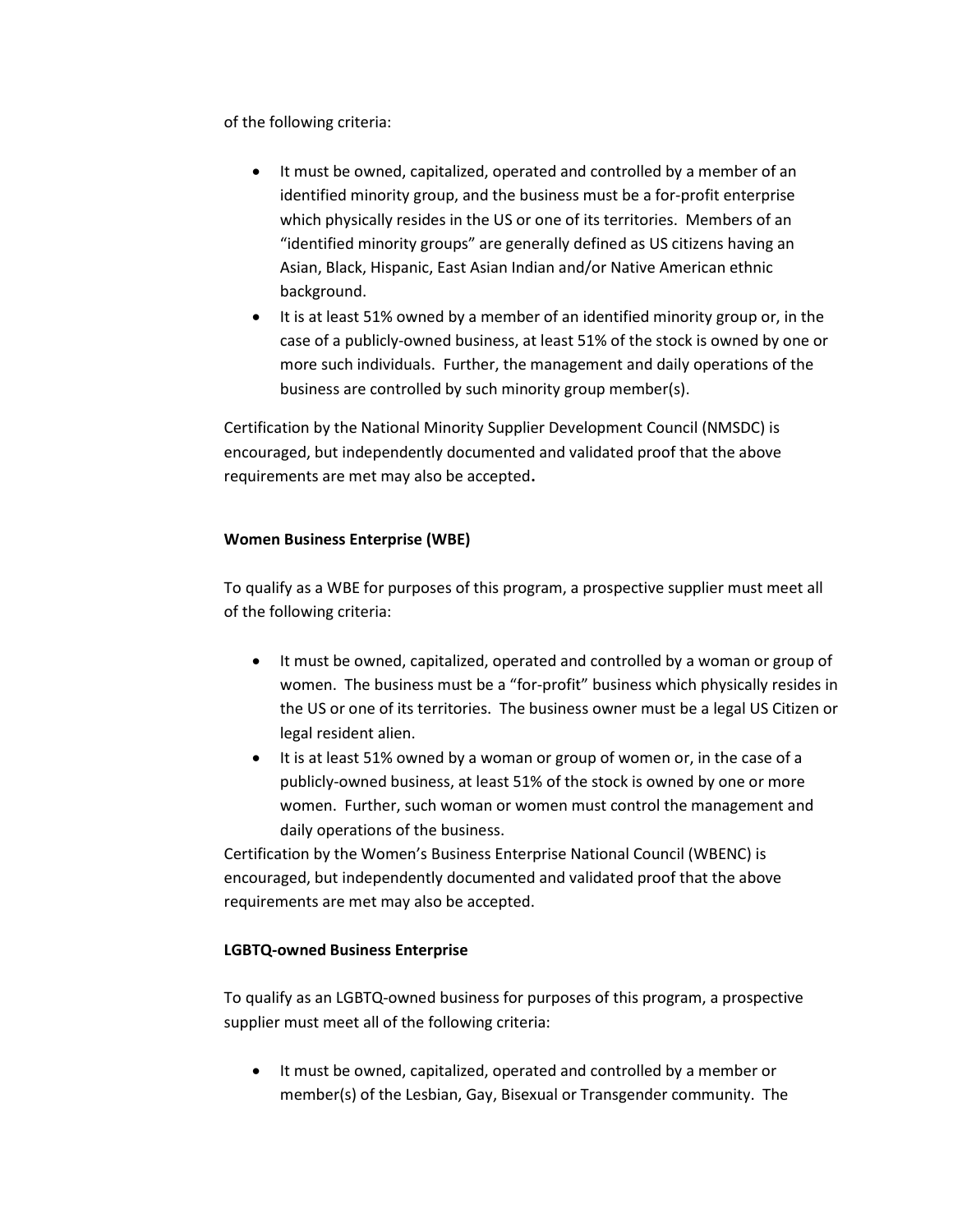of the following criteria:

- It must be owned, capitalized, operated and controlled by a member of an identified minority group, and the business must be a for-profit enterprise which physically resides in the US or one of its territories. Members of an "identified minority groups" are generally defined as US citizens having an Asian, Black, Hispanic, East Asian Indian and/or Native American ethnic background.
- It is at least 51% owned by a member of an identified minority group or, in the case of a publicly-owned business, at least 51% of the stock is owned by one or more such individuals. Further, the management and daily operations of the business are controlled by such minority group member(s).

Certification by the National Minority Supplier Development Council (NMSDC) is encouraged, but independently documented and validated proof that the above requirements are met may also be accepted.

# Women Business Enterprise (WBE)

To qualify as a WBE for purposes of this program, a prospective supplier must meet all of the following criteria:

- It must be owned, capitalized, operated and controlled by a woman or group of women. The business must be a "for-profit" business which physically resides in the US or one of its territories. The business owner must be a legal US Citizen or legal resident alien.
- It is at least 51% owned by a woman or group of women or, in the case of a publicly-owned business, at least 51% of the stock is owned by one or more women. Further, such woman or women must control the management and daily operations of the business.

Certification by the Women's Business Enterprise National Council (WBENC) is encouraged, but independently documented and validated proof that the above requirements are met may also be accepted.

### LGBTQ-owned Business Enterprise

To qualify as an LGBTQ-owned business for purposes of this program, a prospective supplier must meet all of the following criteria:

 It must be owned, capitalized, operated and controlled by a member or member(s) of the Lesbian, Gay, Bisexual or Transgender community. The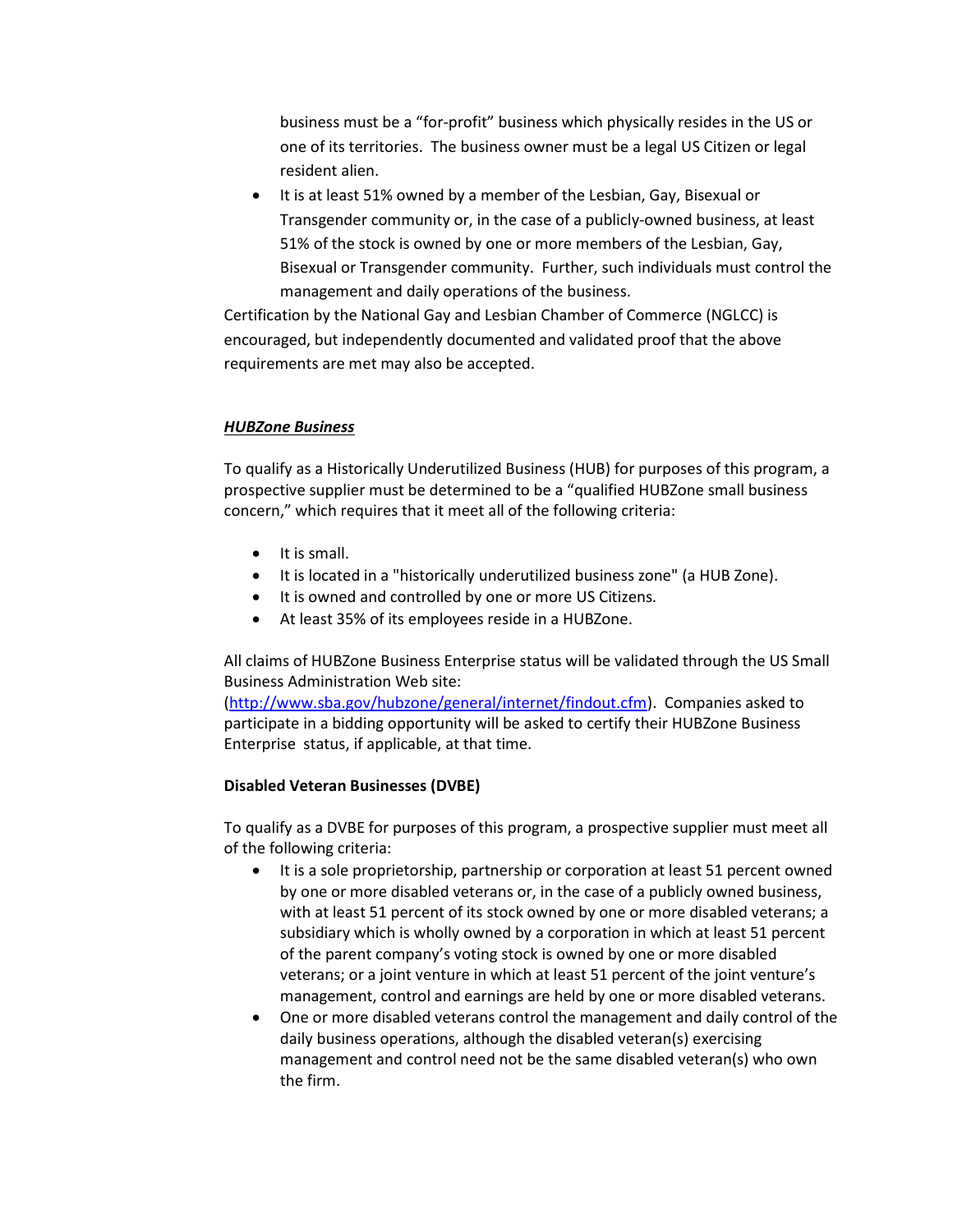business must be a "for-profit" business which physically resides in the US or one of its territories. The business owner must be a legal US Citizen or legal resident alien.

 It is at least 51% owned by a member of the Lesbian, Gay, Bisexual or Transgender community or, in the case of a publicly-owned business, at least 51% of the stock is owned by one or more members of the Lesbian, Gay, Bisexual or Transgender community. Further, such individuals must control the management and daily operations of the business.

Certification by the National Gay and Lesbian Chamber of Commerce (NGLCC) is encouraged, but independently documented and validated proof that the above requirements are met may also be accepted.

### HUBZone Business

To qualify as a Historically Underutilized Business (HUB) for purposes of this program, a prospective supplier must be determined to be a "qualified HUBZone small business concern," which requires that it meet all of the following criteria:

- $\bullet$  It is small.
- It is located in a "historically underutilized business zone" (a HUB Zone).
- $\bullet$  It is owned and controlled by one or more US Citizens.
- At least 35% of its employees reside in a HUBZone.

All claims of HUBZone Business Enterprise status will be validated through the US Small Business Administration Web site:

(http://www.sba.gov/hubzone/general/internet/findout.cfm). Companies asked to participate in a bidding opportunity will be asked to certify their HUBZone Business Enterprise status, if applicable, at that time.

### Disabled Veteran Businesses (DVBE)

To qualify as a DVBE for purposes of this program, a prospective supplier must meet all of the following criteria:

- It is a sole proprietorship, partnership or corporation at least 51 percent owned by one or more disabled veterans or, in the case of a publicly owned business, with at least 51 percent of its stock owned by one or more disabled veterans; a subsidiary which is wholly owned by a corporation in which at least 51 percent of the parent company's voting stock is owned by one or more disabled veterans; or a joint venture in which at least 51 percent of the joint venture's management, control and earnings are held by one or more disabled veterans.
- One or more disabled veterans control the management and daily control of the daily business operations, although the disabled veteran(s) exercising management and control need not be the same disabled veteran(s) who own the firm.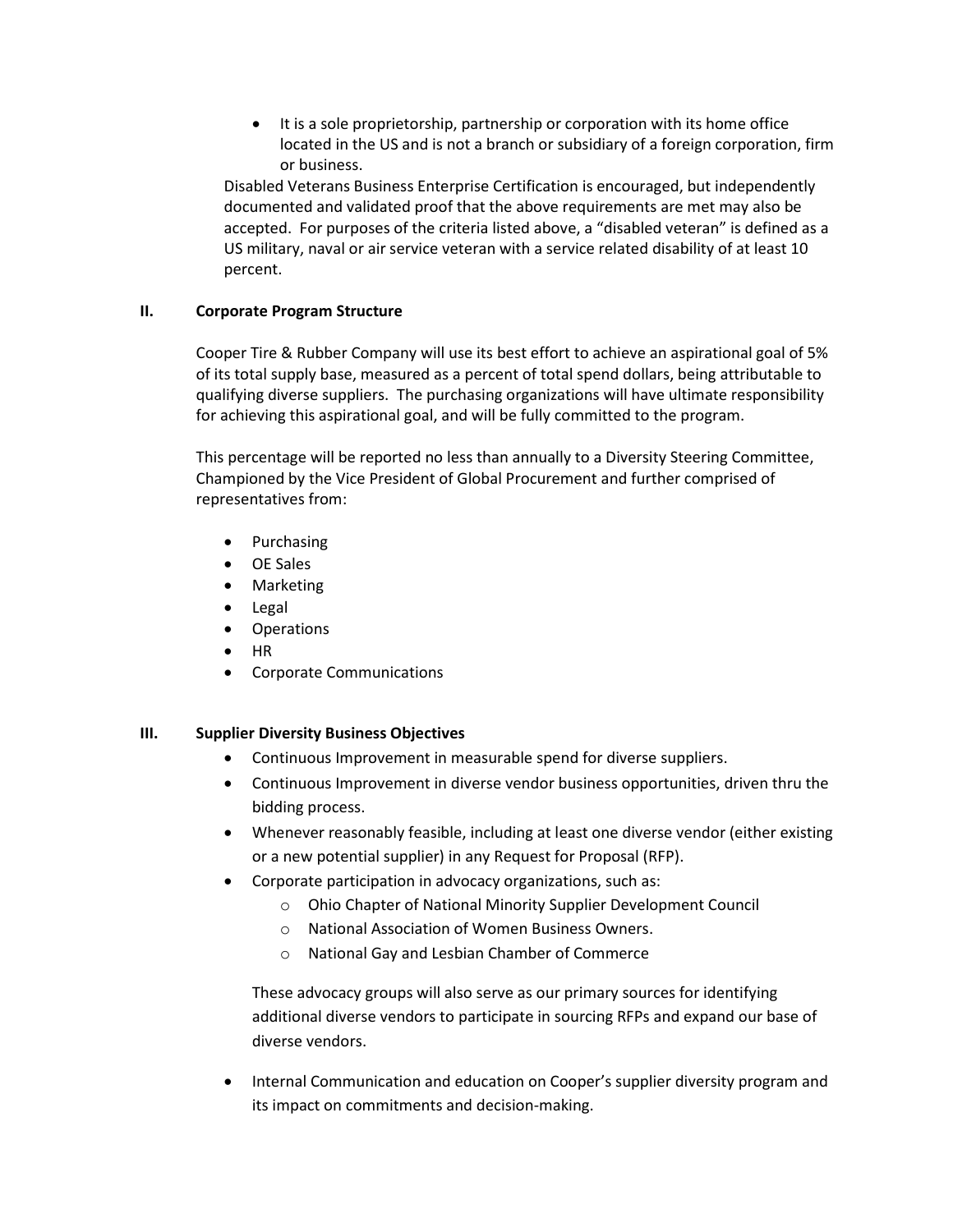• It is a sole proprietorship, partnership or corporation with its home office located in the US and is not a branch or subsidiary of a foreign corporation, firm or business.

Disabled Veterans Business Enterprise Certification is encouraged, but independently documented and validated proof that the above requirements are met may also be accepted. For purposes of the criteria listed above, a "disabled veteran" is defined as a US military, naval or air service veteran with a service related disability of at least 10 percent.

### II. Corporate Program Structure

Cooper Tire & Rubber Company will use its best effort to achieve an aspirational goal of 5% of its total supply base, measured as a percent of total spend dollars, being attributable to qualifying diverse suppliers. The purchasing organizations will have ultimate responsibility for achieving this aspirational goal, and will be fully committed to the program.

This percentage will be reported no less than annually to a Diversity Steering Committee, Championed by the Vice President of Global Procurement and further comprised of representatives from:

- Purchasing
- OE Sales
- Marketing
- Legal
- Operations
- $\bullet$  HR
- Corporate Communications

# III. Supplier Diversity Business Objectives

- Continuous Improvement in measurable spend for diverse suppliers.
- Continuous Improvement in diverse vendor business opportunities, driven thru the bidding process.
- Whenever reasonably feasible, including at least one diverse vendor (either existing or a new potential supplier) in any Request for Proposal (RFP).
- Corporate participation in advocacy organizations, such as:
	- o Ohio Chapter of National Minority Supplier Development Council
	- o National Association of Women Business Owners.
	- o National Gay and Lesbian Chamber of Commerce

These advocacy groups will also serve as our primary sources for identifying additional diverse vendors to participate in sourcing RFPs and expand our base of diverse vendors.

 Internal Communication and education on Cooper's supplier diversity program and its impact on commitments and decision-making.